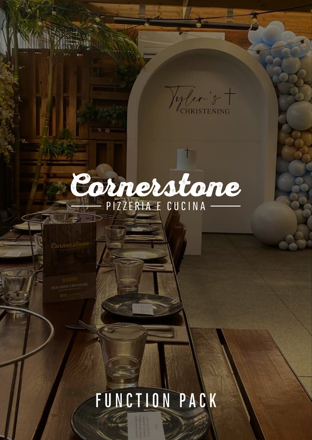Vyler 's

# Cornerstane

# FUNCTION PACK

CORNERSTONE PIZZERIA - FUNCTION PACK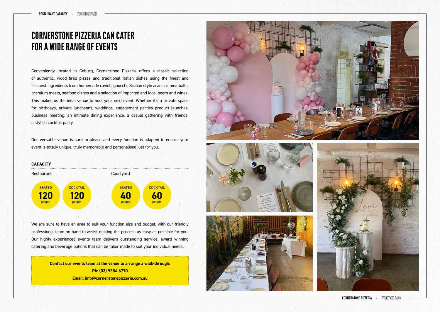CORNERSTONE PIZZERIA - FUNCTION PACK

## **CORNERSTONE PIZZERIA CAN CATER FOR A WIDE RANGE OF EVENTS**

Conveniently located in Coburg, Cornerstone Pizzeria offers a classic selection of authentic, wood fired pizzas and traditional Italian dishes using the finest and freshest ingredients from homemade ravioli, gnocchi, Sicilian style arancini, meatballs, premium meats, seafood dishes and a selection of imported and local beers and wines. This makes us the ideal venue to host your next event. Whether it's a private space for birthdays, private luncheons, weddings, engagement parties product launches, business meeting, an intimate dining experience, a casual gathering with friends, a stylish cocktail party.

Our versatile venue is sure to please and every function is adapted to ensure your event is totally unique, truly memorable and personalised just for you.

We are sure to have an area to suit your function size and budget, with our friendly professional team on hand to assist making the process as easy as possible for you. Our highly experienced events team delivers outstanding service, award winning catering and beverage options that can be tailor made to suit your individual needs.



**Contact our events team at the venue to arrange a walk-through: Ph: (03) 9354 6770 Email: info@cornerstonepizzeria.com.au**



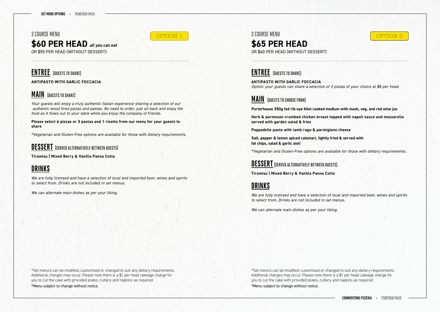3 COURSE MENU OPTION 1 SUUMSEMENU SUUMSEMENU SUUMSEMENU SUUMSEMENU SUUMSEMENU SUUMSEMENU SUUMSEMENU SUUMSEMENU SUUMSEMENU SU

3 COURSE MENU

#### **\$60 PER HEAD** *all you can eat* OR \$55 PER HEAD (WITHOUT DESSERT)

#### **\$65 PER HEAD**

OR \$60 PER HEAD (WITHOUT DESSERT)

#### **ENTREE** (GUESTS TO SHARE)

**ANTIPASTO WITH GARLIC FOCCACIA**

#### **MAIN** (GUESTS TO SHARE)

*Your guests will enjoy a truly authentic Italian experience sharing a selection of our authentic wood fired pizzas and pastas. No need to order, just sit back and enjoy the food as it flows out to your table while you enjoy the company of friends.* 

**Please select 6 pizzas or 3 pastas and 1 risotto from our menu for your guests to share**

*\*Vegetarian and Gluten-Free options are available for those with dietary requirements.*

#### **DESSERT** (SERVED ALTERNATIVELY BETWEEN GUESTS)

**Tiramisu | Mixed Berry & Vanilla Panna Cotta**

### **DRINKS**

*We are fully licensed and have a selection of local and imported beer, wines and spirits to select from. Drinks are not included in set menus.*

*We can alternate main dishes as per your liking.*

#### **ENTREE** (GUESTS TO SHARE)

**ANTIPASTO WITH GARLIC FOCCACIA**  *Option: your guests can share a selection of 3 pizzas of your choice at \$8 per head.*

#### **MAIN** (GUESTS TO CHOOSE FROM)

**Porterhouse 350g fed rib-eye fillet cooked medium with mash, veg. and red wine jus Herb & parmesan crumbed chicken breast topped with napoli sauce and mozzarella** 

**served with garden salad & fries**

**Pappadelle pasta with lamb ragu & parmigiano cheese**

**Salt, pepper & lemon spiced calamari, lightly fried & served with fat chips, salad & garlic aioli**

*\*Vegetarian and Gluten-Free options are available for those with dietary requirements.*

#### **DESSERT** (SERVED ALTERNATIVELY BETWEEN GUESTS)

**Tiramisu | Mixed Berry & Vanilla Panna Cotta**

#### **DRINKS**

*We are fully licensed and have a selection of local and imported beer, wines and spirits to select from. Drinks are not included in set menus.*

*We can alternate main dishes as per your liking.*

\*Set menu's can be modified, customised or changed to suit any dietary requirements. Additional charges may occur. Please note there is a \$1 per head cakeage charge for you to cut the cake with provided plates, cutlery and napkins as required. \*Menu subject to change without notice.

**CORNERSTONE PIZZERIA - FUNCTION PACK** 

\*Set menu's can be modified, customised or changed to suit any dietary requirements. Additional charges may occur. Please note there is a \$1 per head cakeage charge for you to cut the cake with provided plates, cutlery and napkins as required. \*Menu subject to change without notice.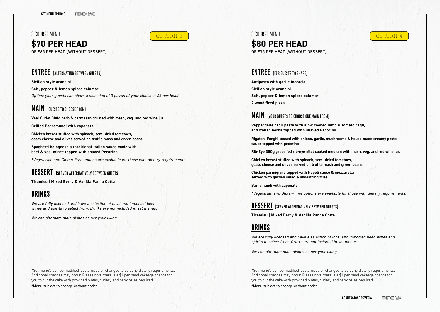3 COURSE MENU **\$80 PER HEAD** OR \$75 PER HEAD (WITHOUT DESSERT) OPTION 3 SUURSE MENU SUURSE MENU SUURSE MENU SUURSE MENU SUURSE MENU SUURSE MENU SUURSE MENU SUURSE MENU SUURS

3 COURSE MENU

# **\$70 PER HEAD**

OR \$65 PER HEAD (WITHOUT DESSERT)

#### **ENTREE** (ALTERNATING BETWEEN GUESTS)

**Sicilian style arancini**

**Salt, pepper & lemon spiced calamari**

*Option: your guests can share a selection of 3 pizzas of your choice at \$8 per head.*

#### **MAIN** (GUESTS TO CHOOSE FROM)

**Veal Cutlet 380g herb & parmesan crusted with mash, veg. and red wine jus**

**Grilled Barramundi with caponata**

**Chicken breast stuffed with spinach, semi-dried tomatoes, goats cheese and olives served on truffle mash and green beans**

**Spaghetti bolognese a traditional Italian sauce made with beef & veal mince topped with shaved Pecorino**

*\*Vegetarian and Gluten-Free options are available for those with dietary requirements.*

### **DESSERT** (SERVED ALTERNATIVELY BETWEEN GUESTS)

**Tiramisu | Mixed Berry & Vanilla Panna Cotta** 

## **DRINKS**

*We are fully licensed and have a selection of local and imported beer, wines and spirits to select from. Drinks are not included in set menus.*

*We can alternate main dishes as per your liking.*

#### **ENTREE** (FOR GUESTS TO SHARE)

**Antipasto with garlic foccacia Sicilian style arancini Salt, pepper & lemon spiced calamari 2 wood fired pizza**

#### **MAIN** (YOUR GUESTS TO CHOOSE ONE MAIN FROM)

**Pappardelle ragu pasta with slow cooked lamb & tomato ragu, and Italian herbs topped with shaved Pecorino**

**Rigatoni Funghi tossed with onions, garlic, mushrooms & house-made creamy pesto sauce topped with pecorino**

**Rib-Eye 380g grass fed rib-eye fillet cooked medium with mash, veg. and red wine jus**

**Chicken breast stuffed with spinach, semi-dried tomatoes, goats cheese and olives served on truffle mash and green beans**

**Chicken parmigiana topped with Napoli sauce & mozzarella served with garden salad & shoestring fries**

**Barramundi with caponata**

*\*Vegetarian and Gluten-Free options are available for those with dietary requirements.*

#### **DESSERT** (SERVED ALTERNATIVELY BETWEEN GUESTS)

**Tiramisu | Mixed Berry & Vanilla Panna Cotta**

#### **DRINKS**

*We are fully licensed and have a selection of local and imported beer, wines and spirits to select from. Drinks are not included in set menus.*

*We can alternate main dishes as per your liking.*

\*Set menu's can be modified, customised or changed to suit any dietary requirements. Additional charges may occur. Please note there is a \$1 per head cakeage charge for you to cut the cake with provided plates, cutlery and napkins as required. \*Menu subject to change without notice.

**CORNERSTONE PIZZERIA - FUNCTION PACK** 

\*Set menu's can be modified, customised or changed to suit any dietary requirements. Additional charges may occur. Please note there is a \$1 per head cakeage charge for you to cut the cake with provided plates, cutlery and napkins as required. \*Menu subject to change without notice.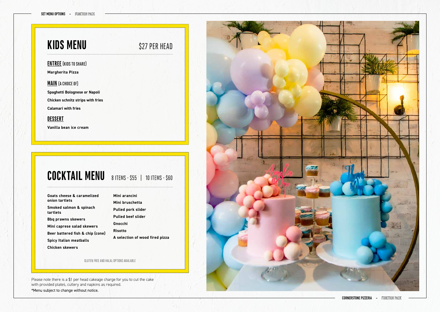# **KIDS MENU** \$27 PER HEAD

CORNERSTONE PIZZERIA - FUNCTION PACK

#### **ENTREE** (KIDS TO SHARE)

**Margherita Pizza**

#### **MAIN** (A CHOICE OF)

**Spaghetti Bolognese or Napoli Chicken schnitz strips with fries Calamari with fries** 

#### **DESSERT**

**Vanilla bean ice cream**

# COCKTAIL MENU 8 ITEMS - \$55 | 10 ITEMS - \$60

#### GLUTEN FREE AND HALAL OPTIONS AVAILABLE

**Goats cheese & caramelized onion tartlets Smoked salmon & spinach tartlets Bbq prawns skewers Mini caprese salad skewers Beer battered fish & chip (cone) Spicy Italian meatballs**

**Chicken skewers**

| Mini arancini                   |
|---------------------------------|
| Mini bruschetta                 |
| <b>Pulled pork slider</b>       |
| <b>Pulled beef slider</b>       |
| Gnocchi                         |
| <b>Risotto</b>                  |
| A selection of wood fired pizza |

Please note there is a \$1 per head cakeage charge for you to cut the cake with provided plates, cutlery and napkins as required. \*Menu subject to change without notice.

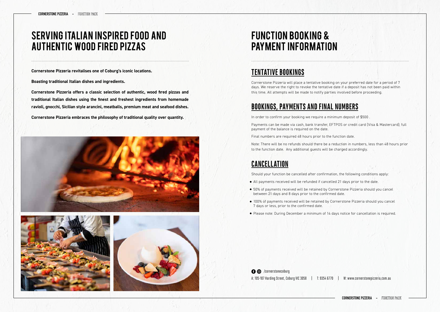## SERVING ITALIAN INSPIRED FOOD AND AUTHENTIC WOOD FIRED PIZZAS

# FUNCTION BOOKING & PAYMENT INFORMATION

**Cornerstone Pizzeria revitalises one of Coburg's iconic locations.**

**Boasting traditional Italian dishes and ingredients.** 

**Cornerstone Pizzeria offers a classic selection of authentic, wood fired pizzas and traditional Italian dishes using the finest and freshest ingredients from homemade ravioli, gnocchi, Sicilian style arancini, meatballs, premium meat and seafood dishes.**

**Cornerstone Pizzeria embraces the philosophy of traditional quality over quantity.**







#### **TENTATIVE BOOKINGS**

Cornerstone Pizzeria will place a tentative booking on your preferred date for a period of 7 days. We reserve the right to revoke the tentative date if a deposit has not been paid within this time. All attempts will be made to notify parties involved before proceeding.

#### **BOOKINGS, PAYMENTS AND FINAL NUMBERS**

A: 105-107 Harding Street, Coburg VIC 3058 | T: 9354 6770 | W: www.cornerstonepizzeria.com.au **O** /cornerstonecoburg

**CORNERSTONE PIZZERIA - FUNCTION PACK** 

In order to confirm your booking we require a minimum deposit of \$500 .

Payments can be made via cash, bank transfer, EFTPOS or credit card (Visa & Mastercard); full payment of the balance is required on the date.

Final numbers are required 48 hours prior to the function date.

Note: There will be no refunds should there be a reduction in numbers, less than 48 hours prior to the function date. Any additional guests will be charged accordingly.

#### **CANCELLATION**

Should your function be cancelled after confirmation, the following conditions apply:

- All payments received will be refunded if cancelled 21 days prior to the date.
- 50% of payments received will be retained by Cornerstone Pizzeria should you cancel between 21 days and 8 days prior to the confirmed date.
- 100% of payments received will be retained by Cornerstone Pizzeria should you cancel 7 days or less, prior to the confirmed date.
- Please note: During December a minimum of 14 days notice for cancellation is required.